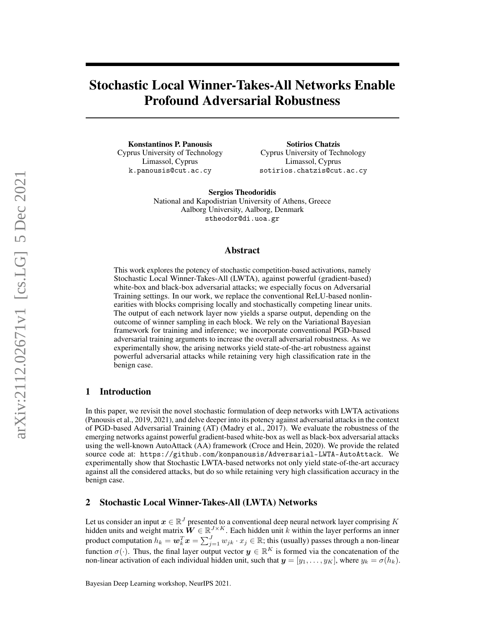# Stochastic Local Winner-Takes-All Networks Enable Profound Adversarial Robustness

Konstantinos P. Panousis Cyprus University of Technology Limassol, Cyprus k.panousis@cut.ac.cy

Sotirios Chatzis Cyprus University of Technology Limassol, Cyprus sotirios.chatzis@cut.ac.cy

Sergios Theodoridis National and Kapodistrian University of Athens, Greece Aalborg University, Aalborg, Denmark stheodor@di.uoa.gr

#### Abstract

This work explores the potency of stochastic competition-based activations, namely Stochastic Local Winner-Takes-All (LWTA), against powerful (gradient-based) white-box and black-box adversarial attacks; we especially focus on Adversarial Training settings. In our work, we replace the conventional ReLU-based nonlinearities with blocks comprising locally and stochastically competing linear units. The output of each network layer now yields a sparse output, depending on the outcome of winner sampling in each block. We rely on the Variational Bayesian framework for training and inference; we incorporate conventional PGD-based adversarial training arguments to increase the overall adversarial robustness. As we experimentally show, the arising networks yield state-of-the-art robustness against powerful adversarial attacks while retaining very high classification rate in the benign case.

# 1 Introduction

In this paper, we revisit the novel stochastic formulation of deep networks with LWTA activations (Panousis et al., 2019, 2021), and delve deeper into its potency against adversarial attacks in the context of PGD-based Adversarial Training (AT) (Madry et al., 2017). We evaluate the robustness of the emerging networks against powerful gradient-based white-box as well as black-box adversarial attacks using the well-known AutoAttack (AA) framework (Croce and Hein, 2020). We provide the related source code at: https://github.com/konpanousis/Adversarial-LWTA-AutoAttack. We experimentally show that Stochastic LWTA-based networks not only yield state-of-the-art accuracy against all the considered attacks, but do so while retaining very high classification accuracy in the benign case.

## 2 Stochastic Local Winner-Takes-All (LWTA) Networks

Let us consider an input  $x \in \mathbb{R}^J$  presented to a conventional deep neural network layer comprising  $K$ hidden units and weight matrix  $\hat{W} \in \mathbb{R}^{J \times K}$ . Each hidden unit k within the layer performs an inner product computation  $h_k = \bm{w}_k^T\bm{x} = \sum_{j=1}^J w_{jk}\cdot x_j\in\mathbb{R};$  this (usually) passes through a non-linear function  $\sigma(\cdot)$ . Thus, the final layer output vector  $y \in \mathbb{R}^K$  is formed via the concatenation of the non-linear activation of each individual hidden unit, such that  $y = [y_1, \dots, y_K]$ , where  $y_k = \sigma(h_k)$ .

Bayesian Deep Learning workshop, NeurIPS 2021.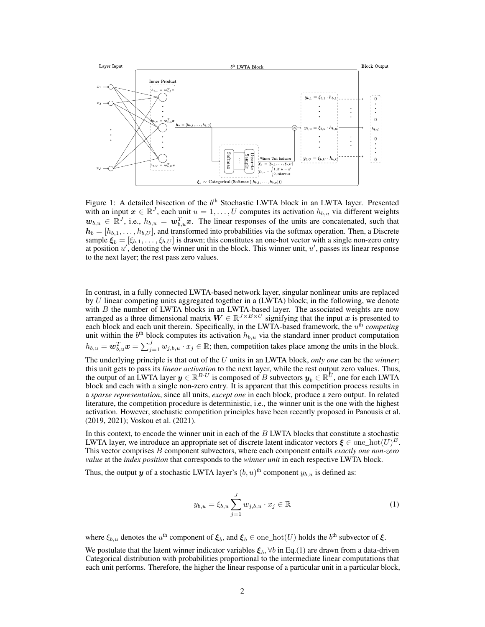

Figure 1: A detailed bisection of the b<sup>th</sup> Stochastic LWTA block in an LWTA layer. Presented with an input  $x \in \mathbb{R}^J$ , each unit  $u = 1, \ldots, U$  computes its activation  $h_{b,u}$  via different weights  $w_{b,u} \in \mathbb{R}^J$ , i.e.,  $h_{b,u} = w_{b,u}^T x$ . The linear responses of the units are concatenated, such that  $h_b = [h_{b,1}, \ldots, h_{b,U}]$ , and transformed into probabilities via the softmax operation. Then, a Discrete sample  $\xi_b = [\xi_{b,1}, \dots, \xi_{b,U}]$  is drawn; this constitutes an one-hot vector with a single non-zero entry at position  $u'$ , denoting the winner unit in the block. This winner unit,  $u'$ , passes its linear response to the next layer; the rest pass zero values.

In contrast, in a fully connected LWTA-based network layer, singular nonlinear units are replaced by  $U$  linear competing units aggregated together in a (LWTA) block; in the following, we denote with  $B$  the number of LWTA blocks in an LWTA-based layer. The associated weights are now arranged as a three dimensional matrix  $W \in \mathbb{R}^{J \times B \times U}$  signifying that the input x is presented to each block and each unit therein. Specifically, in the LWTA-based framework, the  $u^{\text{th}}$  *competing* unit within the  $b<sup>th</sup>$  block computes its activation  $h_{b,u}$  via the standard inner product computation  $h_{b,u} = \boldsymbol{w}_{b,u}^T \boldsymbol{x} = \sum_{j=1}^J w_{j,b,u} \cdot x_j \in \mathbb{R}$ ; then, competition takes place among the units in the block.

The underlying principle is that out of the U units in an LWTA block, *only one* can be the *winner*; this unit gets to pass its *linear activation* to the next layer, while the rest output zero values. Thus, the output of an LWTA layer  $y \in \mathbb{R}^{B \cdot U}$  is composed of B subvectors  $y_b \in \mathbb{R}^U$ , one for each LWTA block and each with a single non-zero entry. It is apparent that this competition process results in a *sparse representation*, since all units, *except one* in each block, produce a zero output. In related literature, the competition procedure is deterministic, i.e., the winner unit is the one with the highest activation. However, stochastic competition principles have been recently proposed in Panousis et al. (2019, 2021); Voskou et al. (2021).

In this context, to encode the winner unit in each of the B LWTA blocks that constitute a stochastic LWTA layer, we introduce an appropriate set of discrete latent indicator vectors  $\boldsymbol{\xi} \in \text{one\_hot}(U)^B$ . This vector comprises B component subvectors, where each component entails *exactly one non-zero value* at the *index position* that corresponds to the *winner unit* in each respective LWTA block.

Thus, the output  $y$  of a stochastic LWTA layer's  $(b, u)$ <sup>th</sup> component  $y_{b,u}$  is defined as:

$$
y_{b,u} = \xi_{b,u} \sum_{j=1}^{J} w_{j,b,u} \cdot x_j \in \mathbb{R}
$$
 (1)

where  $\xi_{b,u}$  denotes the  $u^{\text{th}}$  component of  $\xi_b$ , and  $\xi_b \in \text{one}\_\text{hot}(U)$  holds the  $b^{\text{th}}$  subvector of  $\xi$ .

We postulate that the latent winner indicator variables  $\xi_b$ ,  $\forall b$  in Eq.(1) are drawn from a data-driven Categorical distribution with probabilities proportional to the intermediate linear computations that each unit performs. Therefore, the higher the linear response of a particular unit in a particular block,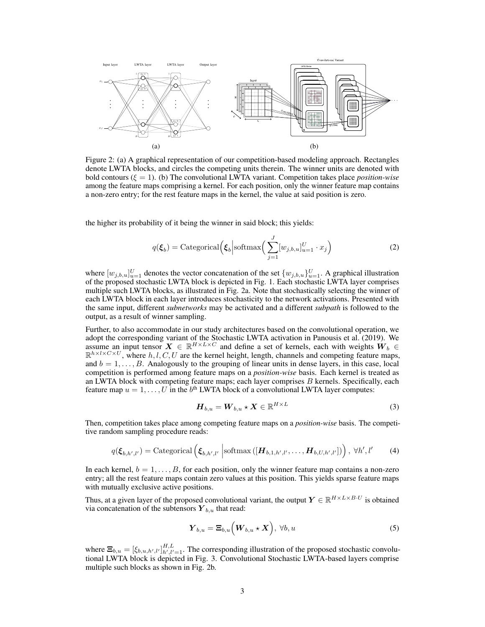

Figure 2: (a) A graphical representation of our competition-based modeling approach. Rectangles denote LWTA blocks, and circles the competing units therein. The winner units are denoted with bold contours  $(\xi = 1)$ . (b) The convolutional LWTA variant. Competition takes place *position-wise* among the feature maps comprising a kernel. For each position, only the winner feature map contains a non-zero entry; for the rest feature maps in the kernel, the value at said position is zero.

the higher its probability of it being the winner in said block; this yields:

$$
q(\boldsymbol{\xi}_b) = \text{Categorical}\left(\boldsymbol{\xi}_b \middle| \text{softmax}\left(\sum_{j=1}^J [w_{j,b,u}]_{u=1}^U \cdot x_j\right)\right)
$$
(2)

where  $[w_{j,b,u}]_{u=1}^U$  denotes the vector concatenation of the set  $\{w_{j,b,u}\}_{u=1}^U$ . A graphical illustration of the proposed stochastic LWTA block is depicted in Fig. 1. Each stochastic LWTA layer comprises multiple such LWTA blocks, as illustrated in Fig. 2a. Note that stochastically selecting the winner of each LWTA block in each layer introduces stochasticity to the network activations. Presented with the same input, different *subnetworks* may be activated and a different *subpath* is followed to the output, as a result of winner sampling.

Further, to also accommodate in our study architectures based on the convolutional operation, we adopt the corresponding variant of the Stochastic LWTA activation in Panousis et al. (2019). We assume an input tensor  $X \in \mathbb{R}^{H \times L \times C}$  and define a set of kernels, each with weights  $W_b \in$  $\mathbb{R}^{h \times l \times C \times U}$ , where  $h, l, C, U$  are the kernel height, length, channels and competing feature maps, and  $b = 1, \ldots, B$ . Analogously to the grouping of linear units in dense layers, in this case, local competition is performed among feature maps on a *position-wise* basis. Each kernel is treated as an LWTA block with competing feature maps; each layer comprises  $B$  kernels. Specifically, each feature map  $u = 1, \ldots, U$  in the  $b^{\text{th}}$  LWTA block of a convolutional LWTA layer computes:

$$
\boldsymbol{H}_{b,u} = \boldsymbol{W}_{b,u} \star \boldsymbol{X} \in \mathbb{R}^{H \times L}
$$
 (3)

Then, competition takes place among competing feature maps on a *position-wise* basis. The competitive random sampling procedure reads:

$$
q(\boldsymbol{\xi}_{b,h',l'}) = \text{Categorical}\left(\boldsymbol{\xi}_{b,h',l'}\left|\text{softmax}\left([\boldsymbol{H}_{b,1,h',l'},\ldots,\boldsymbol{H}_{b,U,h',l'}]\right)\right), \ \forall h',l'\right) \tag{4}
$$

In each kernel,  $b = 1, \ldots, B$ , for each position, only the winner feature map contains a non-zero entry; all the rest feature maps contain zero values at this position. This yields sparse feature maps with mutually exclusive active positions.

Thus, at a given layer of the proposed convolutional variant, the output  $Y \in \mathbb{R}^{H \times L \times B \cdot U}$  is obtained via concatenation of the subtensors  $Y_{b,u}$  that read:

$$
\boldsymbol{Y}_{b,u} = \boldsymbol{\Xi}_{b,u} \left( \boldsymbol{W}_{b,u} \star \boldsymbol{X} \right), \ \forall b,u \tag{5}
$$

where  $\Xi_{b,u} = [\xi_{b,u,h',l'}]_{h',l'=1}^{H,L}$ . The corresponding illustration of the proposed stochastic convolutional LWTA block is depicted in Fig. 3. Convolutional Stochastic LWTA-based layers comprise multiple such blocks as shown in Fig. 2b.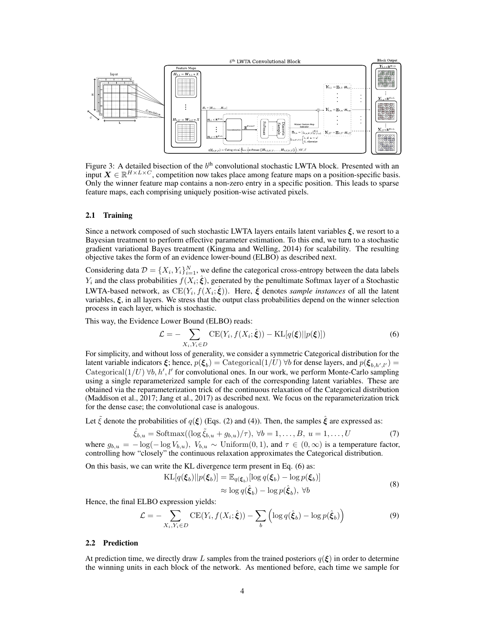

Figure 3: A detailed bisection of the  $b<sup>th</sup>$  convolutional stochastic LWTA block. Presented with an input  $X \in \mathbb{R}^{H \times L \times C}$ , competition now takes place among feature maps on a position-specific basis. Only the winner feature map contains a non-zero entry in a specific position. This leads to sparse feature maps, each comprising uniquely position-wise activated pixels.

#### 2.1 Training

Since a network composed of such stochastic LWTA layers entails latent variables  $\xi$ , we resort to a Bayesian treatment to perform effective parameter estimation. To this end, we turn to a stochastic gradient variational Bayes treatment (Kingma and Welling, 2014) for scalability. The resulting objective takes the form of an evidence lower-bound (ELBO) as described next.

Considering data  $\mathcal{D} = \{X_i, Y_i\}_{i=1}^N$ , we define the categorical cross-entropy between the data labels  $Y_i$  and the class probabilities  $f(X_i; \hat{\xi})$ , generated by the penultimate Softmax layer of a Stochastic LWTA-based network, as  $\mathrm{CE}(Y_i,f(X_i;\hat{\bm{\xi}})).$  Here,  $\hat{\bm{\xi}}$  denotes *sample instances* of all the latent variables,  $\xi$ , in all layers. We stress that the output class probabilities depend on the winner selection process in each layer, which is stochastic.

This way, the Evidence Lower Bound (ELBO) reads:

$$
\mathcal{L} = -\sum_{X_i, Y_i \in D} \text{CE}(Y_i, f(X_i; \hat{\xi})) - \text{KL}[q(\xi)||p(\xi)]) \tag{6}
$$

For simplicity, and without loss of generality, we consider a symmetric Categorical distribution for the latent variable indicators  $\xi$ ; hence,  $p(\xi_b) =$  Categorical(1/U)  $\forall b$  for dense layers, and  $p(\xi_{b,h',l'}) =$ Categorical( $1/U$ )  $\forall b, h', l'$  for convolutional ones. In our work, we perform Monte-Carlo sampling using a single reparameterized sample for each of the corresponding latent variables. These are obtained via the reparameterization trick of the continuous relaxation of the Categorical distribution (Maddison et al., 2017; Jang et al., 2017) as described next. We focus on the reparameterization trick for the dense case; the convolutional case is analogous.

Let  $\tilde{\xi}$  denote the probabilities of  $q(\xi)$  (Eqs. (2) and (4)). Then, the samples  $\hat{\xi}$  are expressed as:

$$
\hat{\xi}_{b,u} = \text{Softmax}((\log \tilde{\xi}_{b,u} + g_{b,u})/\tau), \ \forall b = 1, \dots, B, \ u = 1, \dots, U \tag{7}
$$

where  $g_{b,u} = -\log(-\log V_{b,u})$ ,  $V_{b,u} \sim$  Uniform $(0,1)$ , and  $\tau \in (0,\infty)$  is a temperature factor, controlling how "closely" the continuous relaxation approximates the Categorical distribution.

On this basis, we can write the KL divergence term present in Eq. (6) as:

$$
\begin{aligned} \text{KL}[q(\boldsymbol{\xi}_b) || p(\boldsymbol{\xi}_b)] &= \mathbb{E}_{q(\boldsymbol{\xi}_b)}[\log q(\boldsymbol{\xi}_b) - \log p(\boldsymbol{\xi}_b)] \\ &\approx \log q(\hat{\boldsymbol{\xi}}_b) - \log p(\hat{\boldsymbol{\xi}}_b), \ \forall b \end{aligned} \tag{8}
$$

Hence, the final ELBO expression yields:

$$
\mathcal{L} = -\sum_{X_i, Y_i \in D} \text{CE}(Y_i, f(X_i; \hat{\xi})) - \sum_b \left( \log q(\hat{\xi}_b) - \log p(\hat{\xi}_b) \right)
$$
(9)

#### 2.2 Prediction

At prediction time, we directly draw L samples from the trained posteriors  $q(\xi)$  in order to determine the winning units in each block of the network. As mentioned before, each time we sample for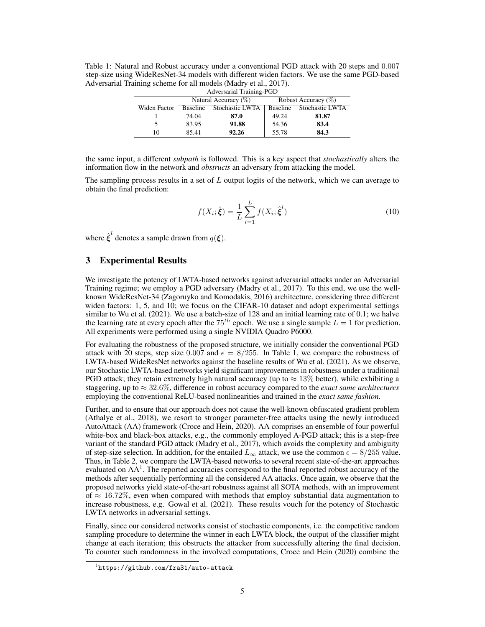Table 1: Natural and Robust accuracy under a conventional PGD attack with 20 steps and 0.007 step-size using WideResNet-34 models with different widen factors. We use the same PGD-based Adversarial Training scheme for all models (Madry et al., 2017).

| Adversarial Training-PGD |                         |                 |                        |                 |  |  |
|--------------------------|-------------------------|-----------------|------------------------|-----------------|--|--|
|                          | Natural Accuracy $(\%)$ |                 | Robust Accuracy $(\%)$ |                 |  |  |
| Widen Factor             | <b>Baseline</b>         | Stochastic LWTA | <b>Baseline</b>        | Stochastic LWTA |  |  |
|                          | 74.04                   | 87.0            | 49.24                  | 81.87           |  |  |
| 5                        | 83.95                   | 91.88           | 54.36                  | 83.4            |  |  |
| 10                       | 85.41                   | 92.26           | 55.78                  | 84.3            |  |  |

the same input, a different *subpath* is followed. This is a key aspect that *stochastically* alters the information flow in the network and *obstructs* an adversary from attacking the model.

The sampling process results in a set of  $L$  output logits of the network, which we can average to obtain the final prediction:

$$
f(X_i; \hat{\xi}) = \frac{1}{L} \sum_{l=1}^{L} f(X_i; \hat{\xi}^l)
$$
 (10)

where  $\hat{\xi}^l$  denotes a sample drawn from  $q(\xi)$ .

# 3 Experimental Results

We investigate the potency of LWTA-based networks against adversarial attacks under an Adversarial Training regime; we employ a PGD adversary (Madry et al., 2017). To this end, we use the wellknown WideResNet-34 (Zagoruyko and Komodakis, 2016) architecture, considering three different widen factors: 1, 5, and 10; we focus on the CIFAR-10 dataset and adopt experimental settings similar to Wu et al. (2021). We use a batch-size of 128 and an initial learning rate of 0.1; we halve the learning rate at every epoch after the  $75^{th}$  epoch. We use a single sample  $L = 1$  for prediction. All experiments were performed using a single NVIDIA Quadro P6000.

For evaluating the robustness of the proposed structure, we initially consider the conventional PGD attack with 20 steps, step size 0.007 and  $\epsilon = 8/255$ . In Table 1, we compare the robustness of LWTA-based WideResNet networks against the baseline results of Wu et al. (2021). As we observe, our Stochastic LWTA-based networks yield significant improvements in robustness under a traditional PGD attack; they retain extremely high natural accuracy (up to  $\approx 13\%$  better), while exhibiting a staggering, up to ≈ 32.6%, difference in robust accuracy compared to the *exact same architectures* employing the conventional ReLU-based nonlinearities and trained in the *exact same fashion*.

Further, and to ensure that our approach does not cause the well-known obfuscated gradient problem (Athalye et al., 2018), we resort to stronger parameter-free attacks using the newly introduced AutoAttack (AA) framework (Croce and Hein, 2020). AA comprises an ensemble of four powerful white-box and black-box attacks, e.g., the commonly employed A-PGD attack; this is a step-free variant of the standard PGD attack (Madry et al., 2017), which avoids the complexity and ambiguity of step-size selection. In addition, for the entailed  $L_{\infty}$  attack, we use the common  $\epsilon = 8/255$  value. Thus, in Table 2, we compare the LWTA-based networks to several recent state-of-the-art approaches evaluated on AA<sup>1</sup>. The reported accuracies correspond to the final reported robust accuracy of the methods after sequentially performing all the considered AA attacks. Once again, we observe that the proposed networks yield state-of-the-art robustness against all SOTA methods, with an improvement of  $\approx 16.72\%$ , even when compared with methods that employ substantial data augmentation to increase robustness, e.g. Gowal et al. (2021). These results vouch for the potency of Stochastic LWTA networks in adversarial settings.

Finally, since our considered networks consist of stochastic components, i.e. the competitive random sampling procedure to determine the winner in each LWTA block, the output of the classifier might change at each iteration; this obstructs the attacker from successfully altering the final decision. To counter such randomness in the involved computations, Croce and Hein (2020) combine the

<sup>1</sup> https://github.com/fra31/auto-attack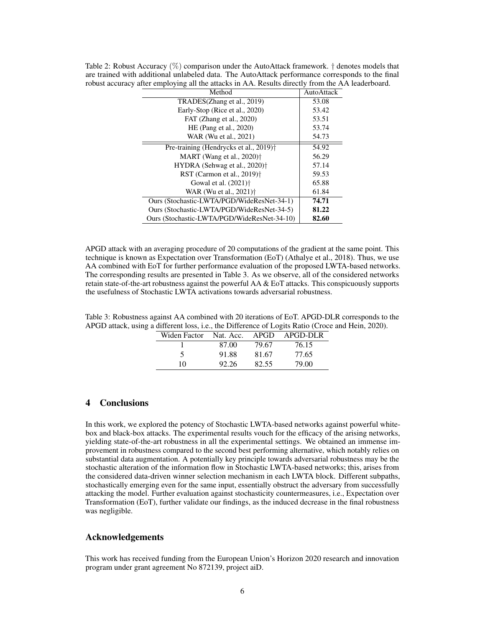| Method                                                       | AutoAttack |
|--------------------------------------------------------------|------------|
| TRADES(Zhang et al., 2019)                                   | 53.08      |
| Early-Stop (Rice et al., 2020)                               | 53.42      |
| FAT (Zhang et al., 2020)                                     | 53.51      |
| HE (Pang et al., 2020)                                       | 53.74      |
| WAR (Wu et al., 2021)                                        | 54.73      |
| Pre-training (Hendrycks et al., 2019) <sup>†</sup>           | 54.92      |
| MART (Wang et al., $2020$ ) <sup><math>\dagger</math></sup>  | 56.29      |
| HYDRA (Sehwag et al., 2020) <sup>†</sup>                     | 57.14      |
| RST (Carmon et al., $2019$ ) <sup><math>\dagger</math></sup> | 59.53      |
| Gowal et al. (2021) <sup>†</sup>                             | 65.88      |
| WAR (Wu et al., 2021) <sup>†</sup>                           | 61.84      |
| Ours (Stochastic-LWTA/PGD/WideResNet-34-1)                   | 74.71      |
| Ours (Stochastic-LWTA/PGD/WideResNet-34-5)                   | 81.22      |
| Ours (Stochastic-LWTA/PGD/WideResNet-34-10)                  | 82.60      |

Table 2: Robust Accuracy (%) comparison under the AutoAttack framework. † denotes models that are trained with additional unlabeled data. The AutoAttack performance corresponds to the final robust accuracy after employing all the attacks in AA. Results directly from the AA leaderboard.

APGD attack with an averaging procedure of 20 computations of the gradient at the same point. This technique is known as Expectation over Transformation (EoT) (Athalye et al., 2018). Thus, we use AA combined with EoT for further performance evaluation of the proposed LWTA-based networks. The corresponding results are presented in Table 3. As we observe, all of the considered networks retain state-of-the-art robustness against the powerful AA & EoT attacks. This conspicuously supports the usefulness of Stochastic LWTA activations towards adversarial robustness.

Table 3: Robustness against AA combined with 20 iterations of EoT. APGD-DLR corresponds to the APGD attack, using a different loss, i.e., the Difference of Logits Ratio (Croce and Hein, 2020).

| Widen Factor | Nat. Acc. APGD |       | APGD-DLR |  |  |
|--------------|----------------|-------|----------|--|--|
|              | 87.00          | 79.67 | 76.15    |  |  |
| 5            | 91.88          | 81.67 | 77.65    |  |  |
| 10           | 92.26          | 82.55 | 79.00    |  |  |

# 4 Conclusions

In this work, we explored the potency of Stochastic LWTA-based networks against powerful whitebox and black-box attacks. The experimental results vouch for the efficacy of the arising networks, yielding state-of-the-art robustness in all the experimental settings. We obtained an immense improvement in robustness compared to the second best performing alternative, which notably relies on substantial data augmentation. A potentially key principle towards adversarial robustness may be the stochastic alteration of the information flow in Stochastic LWTA-based networks; this, arises from the considered data-driven winner selection mechanism in each LWTA block. Different subpaths, stochastically emerging even for the same input, essentially obstruct the adversary from successfully attacking the model. Further evaluation against stochasticity countermeasures, i.e., Expectation over Transformation (EoT), further validate our findings, as the induced decrease in the final robustness was negligible.

## Acknowledgements

This work has received funding from the European Union's Horizon 2020 research and innovation program under grant agreement No 872139, project aiD.